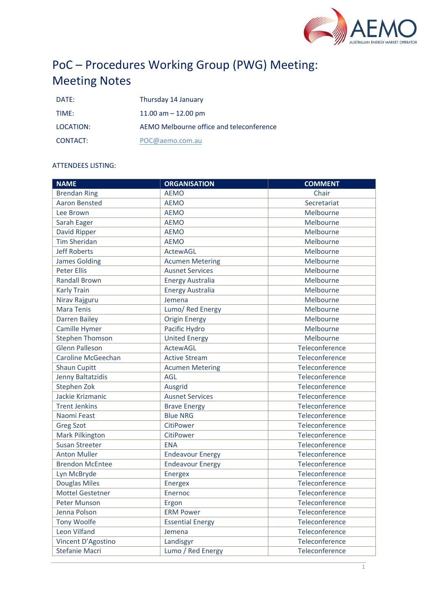

# PoC – Procedures Working Group (PWG) Meeting: Meeting Notes

| DATF:     | Thursday 14 January                      |
|-----------|------------------------------------------|
| TIMF:     | 11.00 am $-$ 12.00 pm                    |
| LOCATION: | AEMO Melbourne office and teleconference |
| CONTACT:  | POC@aemo.com.au                          |

# ATTENDEES LISTING:

| <b>NAME</b>             | <b>ORGANISATION</b>     | <b>COMMENT</b> |
|-------------------------|-------------------------|----------------|
| <b>Brendan Ring</b>     | <b>AEMO</b>             | Chair          |
| <b>Aaron Bensted</b>    | <b>AEMO</b>             | Secretariat    |
| Lee Brown               | <b>AEMO</b>             | Melbourne      |
| Sarah Eager             | <b>AEMO</b>             | Melbourne      |
| David Ripper            | <b>AEMO</b>             | Melbourne      |
| <b>Tim Sheridan</b>     | <b>AEMO</b>             | Melbourne      |
| <b>Jeff Roberts</b>     | <b>ActewAGL</b>         | Melbourne      |
| <b>James Golding</b>    | <b>Acumen Metering</b>  | Melbourne      |
| <b>Peter Ellis</b>      | <b>Ausnet Services</b>  | Melbourne      |
| <b>Randall Brown</b>    | <b>Energy Australia</b> | Melbourne      |
| <b>Karly Train</b>      | <b>Energy Australia</b> | Melbourne      |
| Nirav Rajguru           | Jemena                  | Melbourne      |
| <b>Mara Tenis</b>       | Lumo/ Red Energy        | Melbourne      |
| <b>Darren Bailey</b>    | <b>Origin Energy</b>    | Melbourne      |
| Camille Hymer           | Pacific Hydro           | Melbourne      |
| <b>Stephen Thomson</b>  | <b>United Energy</b>    | Melbourne      |
| <b>Glenn Palleson</b>   | <b>ActewAGL</b>         | Teleconference |
| Caroline McGeechan      | <b>Active Stream</b>    | Teleconference |
| <b>Shaun Cupitt</b>     | <b>Acumen Metering</b>  | Teleconference |
| Jenny Baltatzidis       | <b>AGL</b>              | Teleconference |
| Stephen Zok             | Ausgrid                 | Teleconference |
| Jackie Krizmanic        | <b>Ausnet Services</b>  | Teleconference |
| <b>Trent Jenkins</b>    | <b>Brave Energy</b>     | Teleconference |
| Naomi Feast             | <b>Blue NRG</b>         | Teleconference |
| <b>Greg Szot</b>        | CitiPower               | Teleconference |
| Mark Pilkington         | CitiPower               | Teleconference |
| <b>Susan Streeter</b>   | <b>ENA</b>              | Teleconference |
| <b>Anton Muller</b>     | <b>Endeavour Energy</b> | Teleconference |
| <b>Brendon McEntee</b>  | <b>Endeavour Energy</b> | Teleconference |
| Lyn McBryde             | Energex                 | Teleconference |
| <b>Douglas Miles</b>    | Energex                 | Teleconference |
| <b>Mottel Gestetner</b> | Enernoc                 | Teleconference |
| Peter Munson            | Ergon                   | Teleconference |
| Jenna Polson            | <b>ERM Power</b>        | Teleconference |
| <b>Tony Woolfe</b>      | <b>Essential Energy</b> | Teleconference |
| Leon Vilfand            | Jemena                  | Teleconference |
| Vincent D'Agostino      | Landisgyr               | Teleconference |
| <b>Stefanie Macri</b>   | Lumo / Red Energy       | Teleconference |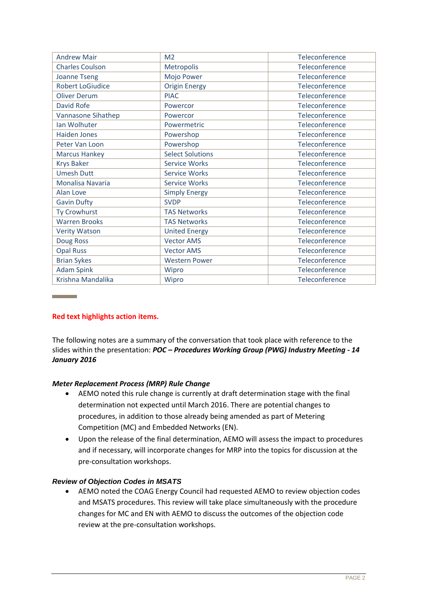| <b>Andrew Mair</b>      | M <sub>2</sub>          | <b>Teleconference</b> |
|-------------------------|-------------------------|-----------------------|
| <b>Charles Coulson</b>  | Metropolis              | Teleconference        |
| <b>Joanne Tseng</b>     | Mojo Power              | Teleconference        |
| <b>Robert LoGiudice</b> | <b>Origin Energy</b>    | Teleconference        |
| Oliver Derum            | <b>PIAC</b>             | Teleconference        |
| David Rofe              | Powercor                | Teleconference        |
| Vannasone Sihathep      | Powercor                | Teleconference        |
| Ian Wolhuter            | Powermetric             | Teleconference        |
| <b>Haiden Jones</b>     | Powershop               | Teleconference        |
| Peter Van Loon          | Powershop               | Teleconference        |
| <b>Marcus Hankey</b>    | <b>Select Solutions</b> | Teleconference        |
| <b>Krys Baker</b>       | <b>Service Works</b>    | Teleconference        |
| <b>Umesh Dutt</b>       | <b>Service Works</b>    | Teleconference        |
| Monalisa Navaria        | <b>Service Works</b>    | Teleconference        |
| Alan Love               | <b>Simply Energy</b>    | Teleconference        |
| <b>Gavin Dufty</b>      | <b>SVDP</b>             | Teleconference        |
| Ty Crowhurst            | <b>TAS Networks</b>     | Teleconference        |
| <b>Warren Brooks</b>    | <b>TAS Networks</b>     | Teleconference        |
| <b>Verity Watson</b>    | <b>United Energy</b>    | Teleconference        |
| Doug Ross               | <b>Vector AMS</b>       | Teleconference        |
| <b>Opal Russ</b>        | <b>Vector AMS</b>       | Teleconference        |
| <b>Brian Sykes</b>      | <b>Western Power</b>    | Teleconference        |
| <b>Adam Spink</b>       | Wipro                   | Teleconference        |
| Krishna Mandalika       | Wipro                   | Teleconference        |

# **Red text highlights action items.**

and the state of

The following notes are a summary of the conversation that took place with reference to the slides within the presentation: *POC – Procedures Working Group (PWG) Industry Meeting - 14 January 2016*

# *Meter Replacement Process (MRP) Rule Change*

- AEMO noted this rule change is currently at draft determination stage with the final determination not expected until March 2016. There are potential changes to procedures, in addition to those already being amended as part of Metering Competition (MC) and Embedded Networks (EN).
- Upon the release of the final determination, AEMO will assess the impact to procedures and if necessary, will incorporate changes for MRP into the topics for discussion at the pre-consultation workshops.

# *Review of Objection Codes in MSATS*

 AEMO noted the COAG Energy Council had requested AEMO to review objection codes and MSATS procedures. This review will take place simultaneously with the procedure changes for MC and EN with AEMO to discuss the outcomes of the objection code review at the pre-consultation workshops.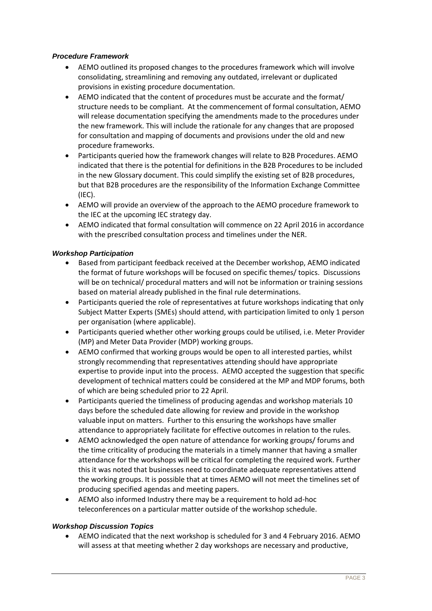#### *Procedure Framework*

- AEMO outlined its proposed changes to the procedures framework which will involve consolidating, streamlining and removing any outdated, irrelevant or duplicated provisions in existing procedure documentation.
- AEMO indicated that the content of procedures must be accurate and the format/ structure needs to be compliant. At the commencement of formal consultation, AEMO will release documentation specifying the amendments made to the procedures under the new framework. This will include the rationale for any changes that are proposed for consultation and mapping of documents and provisions under the old and new procedure frameworks.
- Participants queried how the framework changes will relate to B2B Procedures. AEMO indicated that there is the potential for definitions in the B2B Procedures to be included in the new Glossary document. This could simplify the existing set of B2B procedures, but that B2B procedures are the responsibility of the Information Exchange Committee (IEC).
- AEMO will provide an overview of the approach to the AEMO procedure framework to the IEC at the upcoming IEC strategy day.
- AEMO indicated that formal consultation will commence on 22 April 2016 in accordance with the prescribed consultation process and timelines under the NER.

#### *Workshop Participation*

- Based from participant feedback received at the December workshop, AEMO indicated the format of future workshops will be focused on specific themes/ topics. Discussions will be on technical/ procedural matters and will not be information or training sessions based on material already published in the final rule determinations.
- Participants queried the role of representatives at future workshops indicating that only Subject Matter Experts (SMEs) should attend, with participation limited to only 1 person per organisation (where applicable).
- Participants queried whether other working groups could be utilised, i.e. Meter Provider (MP) and Meter Data Provider (MDP) working groups.
- AEMO confirmed that working groups would be open to all interested parties, whilst strongly recommending that representatives attending should have appropriate expertise to provide input into the process. AEMO accepted the suggestion that specific development of technical matters could be considered at the MP and MDP forums, both of which are being scheduled prior to 22 April.
- Participants queried the timeliness of producing agendas and workshop materials 10 days before the scheduled date allowing for review and provide in the workshop valuable input on matters. Further to this ensuring the workshops have smaller attendance to appropriately facilitate for effective outcomes in relation to the rules.
- AEMO acknowledged the open nature of attendance for working groups/ forums and the time criticality of producing the materials in a timely manner that having a smaller attendance for the workshops will be critical for completing the required work. Further this it was noted that businesses need to coordinate adequate representatives attend the working groups. It is possible that at times AEMO will not meet the timelines set of producing specified agendas and meeting papers.
- AEMO also informed Industry there may be a requirement to hold ad-hoc teleconferences on a particular matter outside of the workshop schedule.

#### *Workshop Discussion Topics*

 AEMO indicated that the next workshop is scheduled for 3 and 4 February 2016. AEMO will assess at that meeting whether 2 day workshops are necessary and productive,